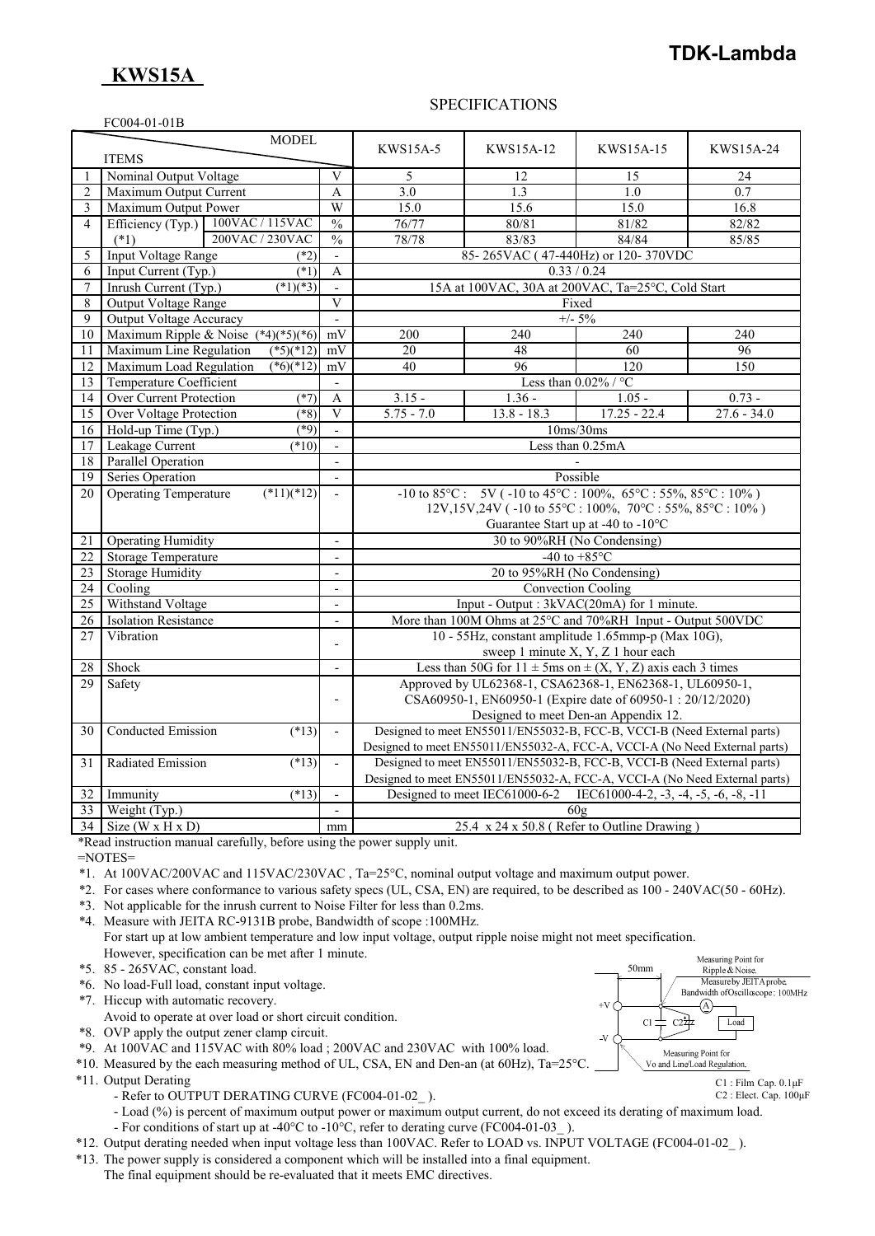## **TDK-Lambda**

# **KWS15A**

EC004-01-01B

### SPECIFICATIONS

|                 | $\sim$ $\sim$ $\sim$ $\sim$ $\sim$ $\sim$ $\sim$ $\sim$<br><b>MODEL</b> |                                 |                                                                                                                      |                                                                      |                                                                            |               |
|-----------------|-------------------------------------------------------------------------|---------------------------------|----------------------------------------------------------------------------------------------------------------------|----------------------------------------------------------------------|----------------------------------------------------------------------------|---------------|
|                 | <b>ITEMS</b>                                                            |                                 | <b>KWS15A-5</b>                                                                                                      | KWS15A-12                                                            | <b>KWS15A-15</b>                                                           | KWS15A-24     |
| 1               | Nominal Output Voltage                                                  | V                               | 5                                                                                                                    | 12                                                                   | 15                                                                         | 24            |
| $\overline{2}$  | Maximum Output Current                                                  | A                               | 3.0                                                                                                                  | 1.3                                                                  | 1.0                                                                        | 0.7           |
| 3               | Maximum Output Power                                                    | W                               | 15.0                                                                                                                 | 15.6                                                                 | 15.0                                                                       | 16.8          |
| $\overline{4}$  | Efficiency (Typ.) 100VAC / 115VAC                                       | $\frac{0}{0}$                   | 76/77                                                                                                                | 80/81                                                                | 81/82                                                                      | 82/82         |
|                 | 200VAC / 230VAC<br>$(*1)$                                               | $\frac{0}{0}$                   | 78/78                                                                                                                | 83/83                                                                | 84/84                                                                      | 85/85         |
| 5               | Input Voltage Range<br>$(*2)$                                           | $\overline{a}$                  |                                                                                                                      |                                                                      | 85-265VAC (47-440Hz) or 120-370VDC                                         |               |
| 6               | Input Current (Typ.)<br>(1)                                             | $\boldsymbol{A}$                |                                                                                                                      | 0.33 / 0.24                                                          |                                                                            |               |
| $\overline{7}$  | Inrush Current (Typ.)<br>$(*1)(*3)$                                     | $\overline{\phantom{a}}$        |                                                                                                                      |                                                                      | 15A at 100VAC, 30A at 200VAC, Ta=25°C, Cold Start                          |               |
| 8               | <b>Output Voltage Range</b>                                             | $\overline{V}$                  |                                                                                                                      |                                                                      | Fixed                                                                      |               |
| 9               | Output Voltage Accuracy                                                 | $\overline{\phantom{a}}$        |                                                                                                                      |                                                                      | $+/- 5\%$                                                                  |               |
| 10              | Maximum Ripple & Noise $(*4)(*5)(*6)$                                   | mV                              | 200                                                                                                                  | 240                                                                  | 240                                                                        | 240           |
| 11              | Maximum Line Regulation<br>$(*5)(*12)$                                  | mV                              | 20                                                                                                                   | 48                                                                   | 60                                                                         | 96            |
| 12              | Maximum Load Regulation<br>$(*6)(*12)$                                  | mV                              | 40                                                                                                                   | 96                                                                   | 120                                                                        | 150           |
| 13              | <b>Temperature Coefficient</b>                                          | $\sim$                          |                                                                                                                      |                                                                      | Less than $0.02\%$ / °C                                                    |               |
| 14              | Over Current Protection<br>$(*7)$                                       | $\mathbf{A}$                    | $3.15 -$                                                                                                             | $1.36 -$                                                             | $1.05 -$                                                                   | $0.73 -$      |
| 15              | Over Voltage Protection<br>$(*8)$                                       | V                               | $5.75 - 7.0$                                                                                                         | $13.8 - 18.3$                                                        | $17.25 - 22.4$                                                             | $27.6 - 34.0$ |
| 16              | Hold-up Time (Typ.)<br>$(*9)$                                           | $\mathbf{r}$                    | 10ms/30ms                                                                                                            |                                                                      |                                                                            |               |
| 17              | Leakage Current<br>$(*10)$                                              | $\overline{a}$                  | Less than 0.25mA                                                                                                     |                                                                      |                                                                            |               |
| 18              | <b>Parallel Operation</b>                                               | $\overline{\phantom{a}}$        |                                                                                                                      |                                                                      |                                                                            |               |
| 19              | Series Operation                                                        | $\overline{a}$                  | Possible                                                                                                             |                                                                      |                                                                            |               |
| 20              | <b>Operating Temperature</b><br>$(*11)(*12)$                            | $\overline{\phantom{a}}$        | $-10$ to $85^{\circ}$ C: $5V$ ( $-10$ to $45^{\circ}$ C: $100\%$ , $65^{\circ}$ C: $55\%$ , $85^{\circ}$ C: $10\%$ ) |                                                                      |                                                                            |               |
|                 |                                                                         |                                 | 12V,15V,24V (-10 to 55°C: 100%, 70°C: 55%, 85°C: 10%)                                                                |                                                                      |                                                                            |               |
|                 |                                                                         |                                 | Guarantee Start up at -40 to -10°C                                                                                   |                                                                      |                                                                            |               |
| 21              | <b>Operating Humidity</b>                                               | $\overline{a}$                  |                                                                                                                      |                                                                      | 30 to 90%RH (No Condensing)                                                |               |
| $\overline{22}$ | <b>Storage Temperature</b>                                              |                                 | -40 to $+85^{\circ}$ C                                                                                               |                                                                      |                                                                            |               |
| 23              | <b>Storage Humidity</b>                                                 | $\overline{\phantom{a}}$        | 20 to 95%RH (No Condensing)                                                                                          |                                                                      |                                                                            |               |
| 24              | Cooling                                                                 | $\overline{a}$                  | <b>Convection Cooling</b>                                                                                            |                                                                      |                                                                            |               |
| 25              | Withstand Voltage                                                       | $\blacksquare$                  | Input - Output : 3kVAC(20mA) for 1 minute.                                                                           |                                                                      |                                                                            |               |
| 26              | <b>Isolation Resistance</b>                                             | $\qquad \qquad \blacksquare$    | More than 100M Ohms at 25°C and 70%RH Input - Output 500VDC                                                          |                                                                      |                                                                            |               |
| 27              | Vibration                                                               | $\overline{\phantom{a}}$        | 10 - 55Hz, constant amplitude 1.65mmp-p (Max 10G),                                                                   |                                                                      |                                                                            |               |
|                 |                                                                         |                                 | sweep 1 minute X, Y, Z 1 hour each                                                                                   |                                                                      |                                                                            |               |
| 28              | Shock                                                                   | $\overline{\phantom{a}}$        |                                                                                                                      | Less than 50G for $11 \pm 5$ ms on $\pm (X, Y, Z)$ axis each 3 times |                                                                            |               |
| 29              | Safety                                                                  |                                 |                                                                                                                      |                                                                      | Approved by UL62368-1, CSA62368-1, EN62368-1, UL60950-1,                   |               |
|                 |                                                                         | $\overline{\phantom{a}}$        |                                                                                                                      |                                                                      | CSA60950-1, EN60950-1 (Expire date of 60950-1: 20/12/2020)                 |               |
|                 |                                                                         |                                 |                                                                                                                      |                                                                      | Designed to meet Den-an Appendix 12.                                       |               |
| 30              | <b>Conducted Emission</b><br>$(*13)$                                    | $\blacksquare$                  |                                                                                                                      |                                                                      | Designed to meet EN55011/EN55032-B, FCC-B, VCCI-B (Need External parts)    |               |
|                 |                                                                         |                                 |                                                                                                                      |                                                                      | Designed to meet EN55011/EN55032-A, FCC-A, VCCI-A (No Need External parts) |               |
| 31              | Radiated Emission<br>(13)                                               | $\overline{a}$                  |                                                                                                                      |                                                                      | Designed to meet EN55011/EN55032-B, FCC-B, VCCI-B (Need External parts)    |               |
|                 |                                                                         |                                 |                                                                                                                      |                                                                      | Designed to meet EN55011/EN55032-A, FCC-A, VCCI-A (No Need External parts) |               |
| 32              | Immunity<br>$(*13)$                                                     |                                 |                                                                                                                      | Designed to meet IEC61000-6-2                                        | IEC61000-4-2, $-3$ , $-4$ , $-5$ , $-6$ , $-8$ , $-11$                     |               |
| 33              | Weight (Typ.)                                                           | 60g<br>$\overline{\phantom{a}}$ |                                                                                                                      |                                                                      |                                                                            |               |
|                 | $34$ Size (W x H x D)                                                   | mm                              |                                                                                                                      |                                                                      | 25.4 x 24 x 50.8 (Refer to Outline Drawing)                                |               |

\*Read instruction manual carefully, before using the power supply unit.

=NOTES=

- \*1. At 100VAC/200VAC and 115VAC/230VAC , Ta=25°C, nominal output voltage and maximum output power.
- \*2. For cases where conformance to various safety specs (UL, CSA, EN) are required, to be described as 100 240VAC(50 60Hz).
- \*3. Not applicable for the inrush current to Noise Filter for less than 0.2ms.
- \*4. Measure with JEITA RC-9131B probe, Bandwidth of scope :100MHz. For start up at low ambient temperature and low input voltage, output ripple noise might not meet specification. However, specification can be met after 1 minute.
- \*5. 85 265VAC, constant load.
- \*6. No load-Full load, constant input voltage.
- \*7. Hiccup with automatic recovery.
- Avoid to operate at over load or short circuit condition.
- \*8. OVP apply the output zener clamp circuit.
- \*9. At 100VAC and 115VAC with 80% load ; 200VAC and 230VAC with 100% load.
- \*10. Measured by the each measuring method of UL, CSA, EN and Den-an (at 60Hz), Ta=25°C.
- \*11. Output Derating
	- Refer to OUTPUT DERATING CURVE (FC004-01-02).
	- Load (%) is percent of maximum output power or maximum output current, do not exceed its derating of maximum load.
- For conditions of start up at -40°C to -10°C, refer to derating curve (FC004-01-03\_ ).
- \*12. Output derating needed when input voltage less than 100VAC. Refer to LOAD vs. INPUT VOLTAGE (FC004-01-02\_ ).
- \*13. The power supply is considered a component which will be installed into a final equipment.
	- The final equipment should be re-evaluated that it meets EMC directives.



C1 : Film Cap. 0.1μF

C2 : Elect. Cap. 100μF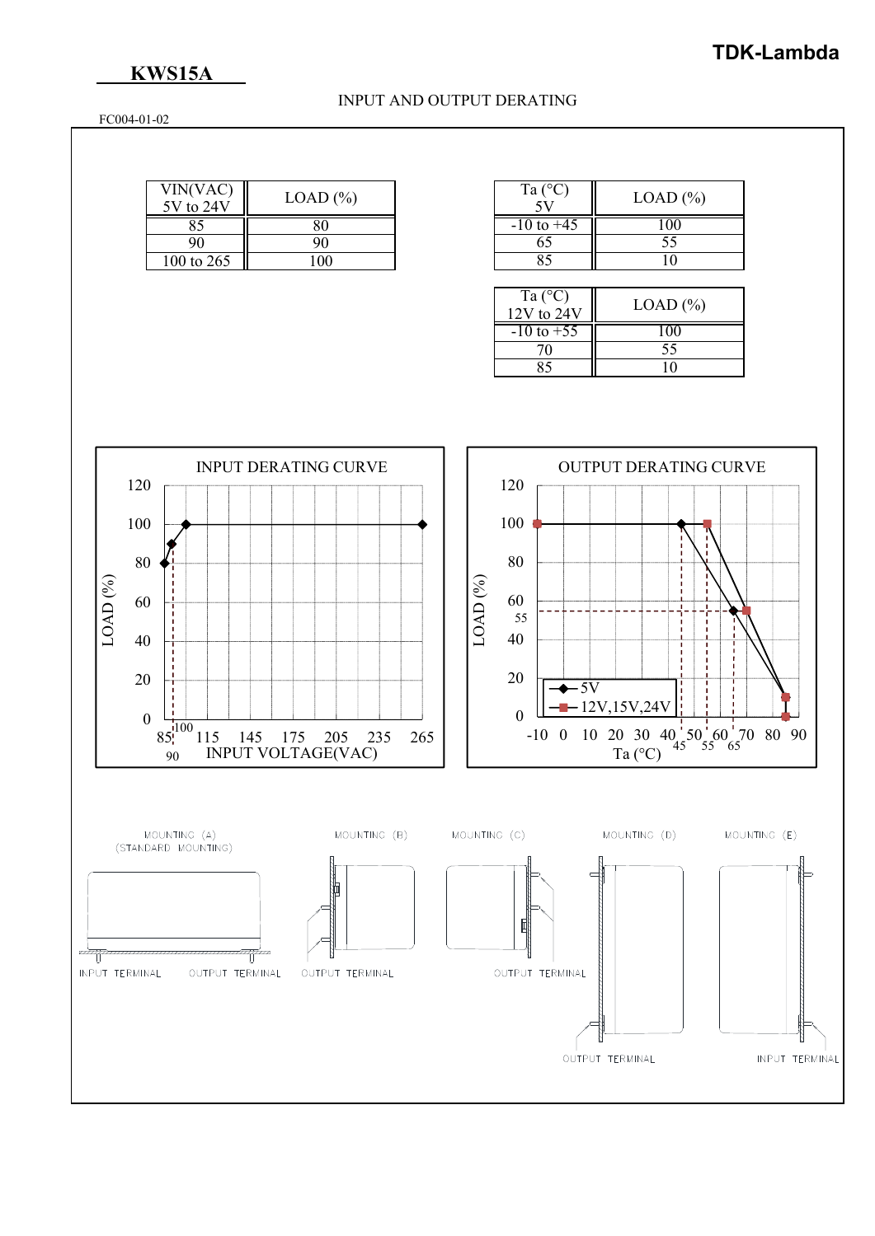## **KWS15A**

### INPUT AND OUTPUT DERATING

FC004-01-02

| VIN(VAC)<br>5V to 24V | $LOAD$ $(\% )$ |
|-----------------------|----------------|
|                       |                |
| 90                    | 90             |
| 100 to 265            | 100            |

| Ta $(^{\circ}C)$ | $LOAD$ $(\% )$ |
|------------------|----------------|
| $-10$ to $+45$   |                |
| 65               | 55             |
|                  |                |

| Ta $(^{\circ}C)$<br>$12V$ to $24V$ | $LOAD$ $(\% )$ |
|------------------------------------|----------------|
| $-10$ to $+55$                     | 1 O C          |
| 70                                 | 55             |
|                                    |                |